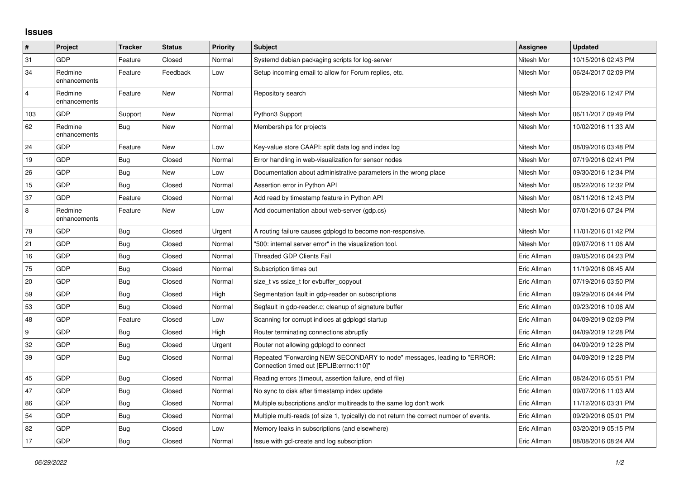## **Issues**

| #              | Project                 | <b>Tracker</b> | <b>Status</b> | <b>Priority</b> | <b>Subject</b>                                                                                                      | Assignee    | <b>Updated</b>      |
|----------------|-------------------------|----------------|---------------|-----------------|---------------------------------------------------------------------------------------------------------------------|-------------|---------------------|
| 31             | GDP                     | Feature        | Closed        | Normal          | Systemd debian packaging scripts for log-server                                                                     | Nitesh Mor  | 10/15/2016 02:43 PM |
| 34             | Redmine<br>enhancements | Feature        | Feedback      | Low             | Setup incoming email to allow for Forum replies, etc.                                                               | Nitesh Mor  | 06/24/2017 02:09 PM |
| $\overline{4}$ | Redmine<br>enhancements | Feature        | <b>New</b>    | Normal          | Repository search                                                                                                   | Nitesh Mor  | 06/29/2016 12:47 PM |
| 103            | <b>GDP</b>              | Support        | New           | Normal          | Python3 Support                                                                                                     | Nitesh Mor  | 06/11/2017 09:49 PM |
| 62             | Redmine<br>enhancements | Bug            | <b>New</b>    | Normal          | Memberships for projects                                                                                            | Nitesh Mor  | 10/02/2016 11:33 AM |
| 24             | <b>GDP</b>              | Feature        | <b>New</b>    | Low             | Key-value store CAAPI: split data log and index log                                                                 | Nitesh Mor  | 08/09/2016 03:48 PM |
| 19             | <b>GDP</b>              | <b>Bug</b>     | Closed        | Normal          | Error handling in web-visualization for sensor nodes                                                                | Nitesh Mor  | 07/19/2016 02:41 PM |
| 26             | GDP                     | Bug            | <b>New</b>    | Low             | Documentation about administrative parameters in the wrong place                                                    | Nitesh Mor  | 09/30/2016 12:34 PM |
| 15             | <b>GDP</b>              | <b>Bug</b>     | Closed        | Normal          | Assertion error in Python API                                                                                       | Nitesh Mor  | 08/22/2016 12:32 PM |
| 37             | GDP                     | Feature        | Closed        | Normal          | Add read by timestamp feature in Python API                                                                         | Nitesh Mor  | 08/11/2016 12:43 PM |
| 8              | Redmine<br>enhancements | Feature        | <b>New</b>    | Low             | Add documentation about web-server (gdp.cs)                                                                         | Nitesh Mor  | 07/01/2016 07:24 PM |
| 78             | GDP                     | Bug            | Closed        | Urgent          | A routing failure causes gdplogd to become non-responsive.                                                          | Nitesh Mor  | 11/01/2016 01:42 PM |
| 21             | <b>GDP</b>              | <b>Bug</b>     | Closed        | Normal          | "500: internal server error" in the visualization tool.                                                             | Nitesh Mor  | 09/07/2016 11:06 AM |
| 16             | <b>GDP</b>              | <b>Bug</b>     | Closed        | Normal          | <b>Threaded GDP Clients Fail</b>                                                                                    | Eric Allman | 09/05/2016 04:23 PM |
| 75             | <b>GDP</b>              | <b>Bug</b>     | Closed        | Normal          | Subscription times out                                                                                              | Eric Allman | 11/19/2016 06:45 AM |
| 20             | <b>GDP</b>              | Bug            | Closed        | Normal          | size t vs ssize t for evbuffer copyout                                                                              | Eric Allman | 07/19/2016 03:50 PM |
| 59             | <b>GDP</b>              | <b>Bug</b>     | Closed        | High            | Segmentation fault in gdp-reader on subscriptions                                                                   | Eric Allman | 09/29/2016 04:44 PM |
| 53             | <b>GDP</b>              | <b>Bug</b>     | Closed        | Normal          | Segfault in gdp-reader.c; cleanup of signature buffer                                                               | Eric Allman | 09/23/2016 10:06 AM |
| 48             | <b>GDP</b>              | Feature        | Closed        | Low             | Scanning for corrupt indices at gdplogd startup                                                                     | Eric Allman | 04/09/2019 02:09 PM |
| 9              | <b>GDP</b>              | <b>Bug</b>     | Closed        | High            | Router terminating connections abruptly                                                                             | Eric Allman | 04/09/2019 12:28 PM |
| 32             | <b>GDP</b>              | <b>Bug</b>     | Closed        | Urgent          | Router not allowing gdplogd to connect                                                                              | Eric Allman | 04/09/2019 12:28 PM |
| 39             | <b>GDP</b>              | Bug            | Closed        | Normal          | Repeated "Forwarding NEW SECONDARY to node" messages, leading to "ERROR:<br>Connection timed out [EPLIB:errno:110]" | Eric Allman | 04/09/2019 12:28 PM |
| 45             | <b>GDP</b>              | <b>Bug</b>     | Closed        | Normal          | Reading errors (timeout, assertion failure, end of file)                                                            | Eric Allman | 08/24/2016 05:51 PM |
| 47             | GDP                     | <b>Bug</b>     | Closed        | Normal          | No sync to disk after timestamp index update                                                                        | Eric Allman | 09/07/2016 11:03 AM |
| 86             | GDP                     | <b>Bug</b>     | Closed        | Normal          | Multiple subscriptions and/or multireads to the same log don't work                                                 | Eric Allman | 11/12/2016 03:31 PM |
| 54             | <b>GDP</b>              | Bug            | Closed        | Normal          | Multiple multi-reads (of size 1, typically) do not return the correct number of events.                             | Eric Allman | 09/29/2016 05:01 PM |
| 82             | <b>GDP</b>              | Bug            | Closed        | Low             | Memory leaks in subscriptions (and elsewhere)                                                                       | Eric Allman | 03/20/2019 05:15 PM |
| 17             | GDP                     | Bug            | Closed        | Normal          | Issue with gcl-create and log subscription                                                                          | Eric Allman | 08/08/2016 08:24 AM |